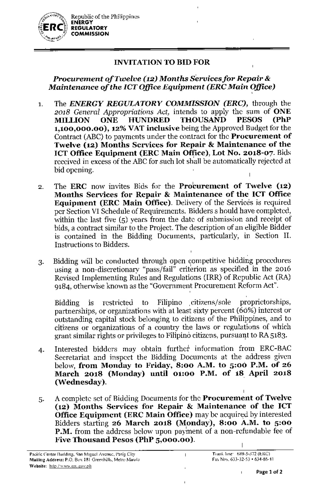

# **INVITATION TO BID FOR**

# *Procurement of Twelve* **(12)** *Months Servicesfor Repair & Maintenance of the ICTOffice Equipment (ERCMain Office)* ,

- The *ENERGY REGULATORY COMMISSION (ERC),* through the 1. *2018 General Appr'opriations Act,* intends to apply the sum of **ONE MILLION ONE HUNDRED THOUSAND PESOS (PhP 1,100,000.00), 12%VATinclusive** being the Approved Budget for the Contract (ABC) to payments under the contract for the **Procurement of Twelve (12) Months Services for Repair & Maintenance of the leT Office Equipment (ERCMain Office), Lot No. 2018-07.** Bids received in excess of the ABC for such lot shall be automatically rejected at bid opening.
- 2. The **ERC** now invites Bids for the **Procurement of Twelve (12) Months Services for Repair & Maintenance of the ICf Office Equipment (ERC Main Office).** Delivery of the Services is required per Section VI Schedule of Requirements. Bidders s hould have completed, within the last five (5) years from the datc of submission and receipt of bids, a contract similar to the Project. The description of an eligible Bidder is contained in the Bidding Documents, particularly, in Section II. Instruetions to Bidders.
- 3. Bidding will be eonducted through open competitive bidding procedures using a non-discretionary "pass/fail" criterion as specified in the 2016 Revised Implementing Rules and Regulations (IRR) of Republic Act (RA) 9184, otherwise knovm as the "Government Procurement Reform Act". ,

Bidding is restricted to Filipino citizens/sole proprietorships, partnerships, or organizations with at least sixty percent (66%) interest or outstanding capital stock belonging La citizens of the Philippines, and to citizens or organizations of a country the laws or regulations of which grant similar rights or privileges to Filipino citizens, pursuant to RA 5183.

- 4. Interested bidders may obtain further information from ERC-BAC Secretariat and inspeet the Bidding Documents at the address given below, **from Monday to Friday, 8:00 A.M. to 5:00 P.M. of 26 March 2018 (Monday) until 01:00 P.M. of 18 April 2018 (Wednesday).**
- A complete set of Bidding Documents for the **Procurement of Twelve** 5. **(12) Months Services for Repair & Maintenance of the leT Office Equipment (ERC Main Office)** may be acquired by interested Bidders starting **26 March 2018 (Monday), 8:00 A.M. to 5:00** P.M. from the address below upon payment of a non-refundable fee of **Five Thousand Pesos (PhP 5,000.00).**  $\overline{\phantom{a}}$

 $\overline{1}$ 

 $\mathbf{I}$ 

,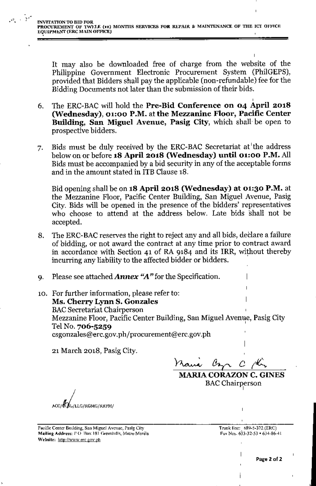It may also be downloaded free of charge from the website of the Philippine Government Electronic Procurement System (PhilGEPS), provided that Bidders shall pay the applicable (non-refundable) fee for the Bidding Documents not later than the submission of their bids.

- 6. The ERC-BAC will hold the Pre-Bid Conference on 04 April 2018 (Wednesday), 01:00 P.M. at the Mezzanine Floor, Pacific Center Building, San Miguel Avenue, Pasig City, which shall- be open to prospective bidders.
- 7. Bids must be duly received by the ERC-BAC Secretariat at the address below on or before 18 April 2018 (Wednesday) until 01:00 P.M. All Bids must be accompanied by a bid security in any of the acceptable forms and in the amount stated in ITB Clause 18.

Bid opening shall be on 18 April 2018 (Wednesday) at 01:30 P.M. at the Mezzanine Floor, Pacific Center Building, San Miguel Avenue, Pasig City. Bids will be opened in the presence of the bidders' representatives who choose to attend at the address below. Late bids shall not be accepted.

- 8. The ERC-BAC reserves the right to reject any and all bids, declare a failure of bidding, or not award the contract at any time prior to contract award in accordance with Section 41 of RA 9184 and its IRR, without thereby incurring any liability to the affected bidder or bidders. '
- 9. Please see attached *Annex ''A''for* the Specification.
- 10. For further information, please refer to: Ms. Cherry Lynn S. Gonzales BACSecretariat Chairperson Mezzanine Floor, Pacific Center Building, San Miguel Avenue, Pasig City , Tel No. 706-5259 csgonzales@erc.gov.ph/procurement@erc.gov.ph

21 March 2018, Pasig City.

 $\lambda$ ani az c /C.

MARIA CORAZON C. GINES BAC Chairperson

ACC/CLG/LLG/RGMG/RRFM/

Pacific Center Building, San Miguel Avenue, Pasig City. Mailing Address; P.O. Box 181 Greenhills, Metro Manila. Website: http://www.erc.gov.ph

Trunk linc:, 689\_5.)72 (ERC) Fax Nos. 633-32-53 • 634-86-41

,